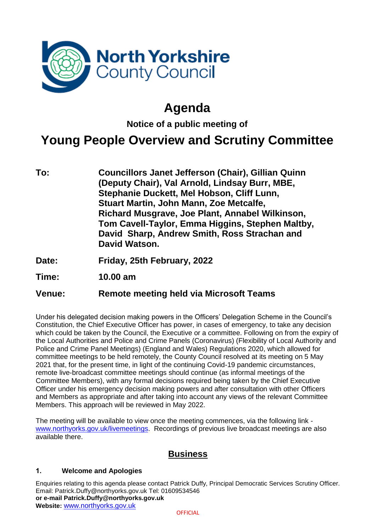

# **Agenda**

**Notice of a public meeting of**

# **Young People Overview and Scrutiny Committee**

- **To: Councillors Janet Jefferson (Chair), Gillian Quinn (Deputy Chair), Val Arnold, Lindsay Burr, MBE, Stephanie Duckett, Mel Hobson, Cliff Lunn, Stuart Martin, John Mann, Zoe Metcalfe, Richard Musgrave, Joe Plant, Annabel Wilkinson, Tom Cavell-Taylor, Emma Higgins, Stephen Maltby, David Sharp, Andrew Smith, Ross Strachan and David Watson.**
- **Date: Friday, 25th February, 2022**
- **Time: 10.00 am**

### **Venue: Remote meeting held via Microsoft Teams**

Under his delegated decision making powers in the Officers' Delegation Scheme in the Council's Constitution, the Chief Executive Officer has power, in cases of emergency, to take any decision which could be taken by the Council, the Executive or a committee. Following on from the expiry of the Local Authorities and Police and Crime Panels (Coronavirus) (Flexibility of Local Authority and Police and Crime Panel Meetings) (England and Wales) Regulations 2020, which allowed for committee meetings to be held remotely, the County Council resolved at its meeting on 5 May 2021 that, for the present time, in light of the continuing Covid-19 pandemic circumstances, remote live-broadcast committee meetings should continue (as informal meetings of the Committee Members), with any formal decisions required being taken by the Chief Executive Officer under his emergency decision making powers and after consultation with other Officers and Members as appropriate and after taking into account any views of the relevant Committee Members. This approach will be reviewed in May 2022.

The meeting will be available to view once the meeting commences, via the following link [www.northyorks.gov.uk/livemeetings.](http://www.northyorks.gov.uk/livemeetings) Recordings of previous live broadcast meetings are also available there.

### **Business**

#### **1. Welcome and Apologies**

Enquiries relating to this agenda please contact Patrick Duffy, Principal Democratic Services Scrutiny Officer. Email: Patrick.Duffy@northyorks.gov.uk Tel: 01609534546 **or e-mail Patrick.Duffy@northyorks.gov.uk Website:** [www.northyorks.gov.uk](http://www.northyorks.gov.uk/)